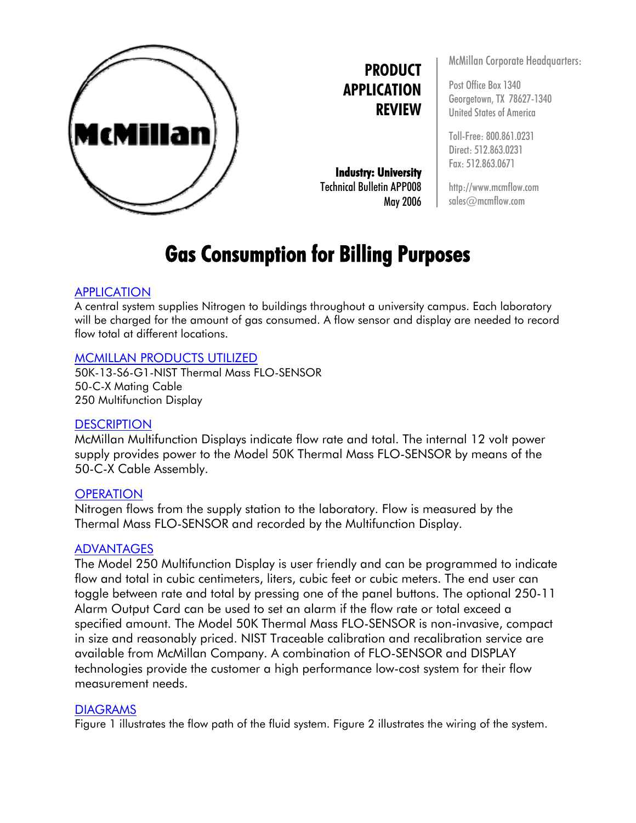

**PRODUCT APPLICATION REVIEW**

**Industry: University**  Technical Bulletin APP008 May 2006 McMillan Corporate Headquarters:

Post Office Box 1340 Georgetown, TX 78627-1340 United States of America

Toll-Free: 800.861.0231 Direct: 512.863.0231 Fax: 512.863.0671

http://www.mcmflow.com sales@mcmflow.com

# **Gas Consumption for Billing Purposes**

#### **APPLICATION**

A central system supplies Nitrogen to buildings throughout a university campus. Each laboratory will be charged for the amount of gas consumed. A flow sensor and display are needed to record flow total at different locations.

### MCMILLAN PRODUCTS UTILIZED

50K-13-S6-G1-NIST Thermal Mass FLO-SENSOR 50-C-X Mating Cable 250 Multifunction Display

## **DESCRIPTION**

McMillan Multifunction Displays indicate flow rate and total. The internal 12 volt power supply provides power to the Model 50K Thermal Mass FLO-SENSOR by means of the 50-C-X Cable Assembly.

#### **OPERATION**

Nitrogen flows from the supply station to the laboratory. Flow is measured by the Thermal Mass FLO-SENSOR and recorded by the Multifunction Display.

#### ADVANTAGES

The Model 250 Multifunction Display is user friendly and can be programmed to indicate flow and total in cubic centimeters, liters, cubic feet or cubic meters. The end user can toggle between rate and total by pressing one of the panel buttons. The optional 250-11 Alarm Output Card can be used to set an alarm if the flow rate or total exceed a specified amount. The Model 50K Thermal Mass FLO-SENSOR is non-invasive, compact in size and reasonably priced. NIST Traceable calibration and recalibration service are available from McMillan Company. A combination of FLO-SENSOR and DISPLAY technologies provide the customer a high performance low-cost system for their flow measurement needs.

#### **DIAGRAMS**

Figure 1 illustrates the flow path of the fluid system. Figure 2 illustrates the wiring of the system.